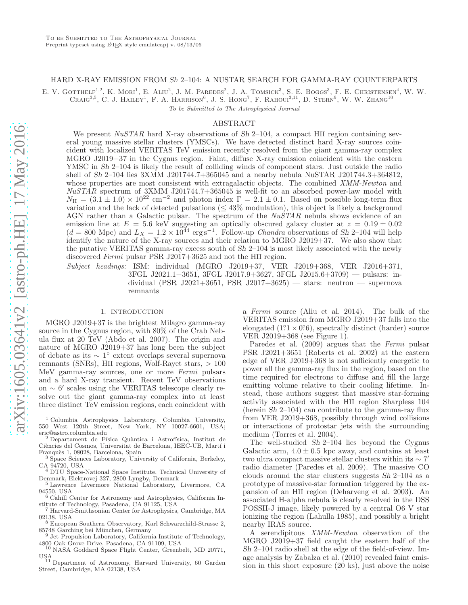# HARD X-RAY EMISSION FROM Sh 2–104: A NUSTAR SEARCH FOR GAMMA-RAY COUNTERPARTS

E. V. GOTTHELF<sup>1,2</sup>, K. MORI<sup>1</sup>, E. ALIU<sup>2</sup>, J. M. PAREDES<sup>2</sup>, J. A. TOMSICK<sup>3</sup>, S. E. BOGGS<sup>3</sup>, F. E. CHRISTENSEN<sup>4</sup>, W. W. CRAIG<sup>3,5</sup>, C. J. HAILEY<sup>1</sup>, F. A. HARRISON<sup>6</sup>, J. S. HONG<sup>7</sup>, F. RAHOUI<sup>3,11</sup>, D. STERN<sup>9</sup>, W. W. ZHANG<sup>10</sup>

To be Submitted to The Astrophysical Journal

#### ABSTRACT

We present  $NuSTAR$  hard X-ray observations of Sh 2–104, a compact HII region containing several young massive stellar clusters (YMSCs). We have detected distinct hard X-ray sources coincident with localized VERITAS TeV emission recently resolved from the giant gamma-ray complex MGRO J2019+37 in the Cygnus region. Faint, diffuse X-ray emission coincident with the eastern YMSC in Sh 2–104 is likely the result of colliding winds of component stars. Just outside the radio shell of Sh 2–104 lies 3XMM J201744.7+365045 and a nearby nebula NuSTAR J201744.3+364812, whose properties are most consistent with extragalactic objects. The combined XMM-Newton and NuSTAR spectrum of 3XMM J201744.7+365045 is well-fit to an absorbed power-law model with  $N_{\rm H} = (3.1 \pm 1.0) \times 10^{22}$  cm<sup>-2</sup> and photon index  $\Gamma = 2.1 \pm 0.1$ . Based on possible long-term flux variation and the lack of detected pulsations  $(543\% \text{ modulation})$ , this object is likely a background AGN rather than a Galactic pulsar. The spectrum of the  $NuSTAR$  nebula shows evidence of an emission line at  $E = 5.6$  keV suggesting an optically obscured galaxy cluster at  $z = 0.19 \pm 0.02$  $(d = 800$  Mpc) and  $L_X = 1.2 \times 10^{44}$  erg s<sup>-1</sup>. Follow-up *Chandra* observations of Sh 2-104 will help identify the nature of the X-ray sources and their relation to MGRO J2019+37. We also show that the putative VERITAS gamma-ray excess south of Sh 2–104 is most likely associated with the newly discovered Fermi pulsar PSR J2017+3625 and not the HII region.

Subject headings: ISM: individual (MGRO J2019+37, VER J2019+368, VER J2016+371, 3FGL J2021.1+3651, 3FGL J2017.9+3627, 3FGL J2015.6+3709) — pulsars: individual (PSR J2021+3651, PSR J2017+3625) — stars: neutron — supernova remnants

## 1. INTRODUCTION

MGRO J2019+37 is the brightest Milagro gamma-ray source in the Cygnus region, with 80% of the Crab Nebula flux at 20 TeV (Abdo et al. 2007). The origin and nature of MGRO J2019+37 has long been the subject of debate as its ∼ 1 ◦ extent overlaps several supernova remnants (SNRs), HII regions, Wolf-Rayet stars, > 100 MeV gamma-ray sources, one or more Fermi pulsars and a hard X-ray transient. Recent TeV observations on ∼ 6 ′ scales using the VERITAS telescope clearly resolve out the giant gamma-ray complex into at least three distinct TeV emission regions, each coincident with

<sup>1</sup> Columbia Astrophysics Laboratory, Columbia University, 550 West 120th Street, New York, NY 10027-6601, USA; eric@astro.columbia.edu

Departament de Física Quàntica i Astrofísica, Institut de Ciències del Cosmos, Universitat de Barcelona, IEEC-UB, Martí i Franquès 1, 08028, Barcelona, Spain

<sup>3</sup> Space Sciences Laboratory, University of California, Berkeley, CA 94720, USA

<sup>4</sup> DTU Space-National Space Institute, Technical University of Denmark, Elektrovej 327, 2800 Lyngby, Denmark

<sup>5</sup> Lawrence Livermore National Laboratory, Livermore, CA 94550, USA

<sup>6</sup> Cahill Center for Astronomy and Astrophysics, California Institute of Technology, Pasadena, CA 91125, USA

<sup>7</sup> Harvard-Smithsonian Center for Astrophysics, Cambridge, MA 02138, USA

<sup>8</sup> European Southern Observatory, Karl Schwarzchild-Strasse 2, 85748 Garching bei München, Germany

<sup>9</sup> Jet Propulsion Laboratory, California Institute of Technology, 4800 Oak Grove Drive, Pasadena, CA 91109, USA

<sup>10</sup> NASA Goddard Space Flight Center, Greenbelt, MD 20771, USA

<sup>11</sup> Department of Astronomy, Harvard University, 60 Garden Street, Cambridge, MA 02138, USA

a Fermi source (Aliu et al. 2014). The bulk of the VERITAS emission from MGRO J2019+37 falls into the elongated  $(1.1 \times 0.6)$ , spectrally distinct (harder) source VER J2019+368 (see Figure 1).

Paredes et al. (2009) argues that the Fermi pulsar PSR J2021+3651 (Roberts et al. 2002) at the eastern edge of VER J2019+368 is not sufficiently energetic to power all the gamma-ray flux in the region, based on the time required for electrons to diffuse and fill the large emitting volume relative to their cooling lifetime. Instead, these authors suggest that massive star-forming activity associated with the HII region Sharpless 104 (herein Sh 2–104) can contribute to the gamma-ray flux from VER J2019+368, possibly through wind collisions or interactions of protostar jets with the surrounding medium (Torres et al. 2004).

The well-studied Sh 2–104 lies beyond the Cygnus Galactic arm,  $4.0 \pm 0.5$  kpc away, and contains at least two ultra compact massive stellar clusters within its  $\sim 7'$ radio diameter (Paredes et al. 2009). The massive CO clouds around the star clusters suggests Sh 2–104 as a prototype of massive-star formation triggered by the expansion of an HII region (Deharveng et al. 2003). An associated H-alpha nebula is clearly resolved in the DSS POSSII-J image, likely powered by a central O6 V star ionizing the region (Lahulla 1985), and possibly a bright nearby IRAS source.

A serendipitous XMM-Newton observation of the MGRO J2019+37 field caught the eastern half of the Sh 2–104 radio shell at the edge of the field-of-view. Image analysis by Zabalza et al. (2010) revealed faint emission in this short exposure (20 ks), just above the noise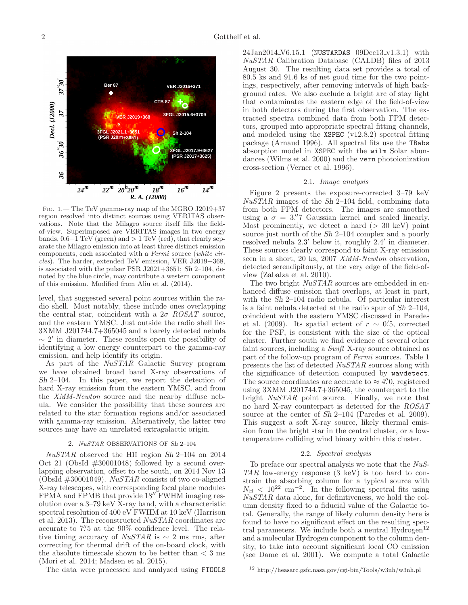

Fig. 1.— The TeV gamma-ray map of the MGRO J2019+37 region resolved into distinct sources using VERITAS observations. Note that the Milagro source itself fills the fieldof-view. Superimposed are VERITAS images in two energy bands,  $0.6-1$  TeV (green) and  $> 1$  TeV (red), that clearly separate the Milagro emission into at least three distinct emission components, each associated with a Fermi source (white circles). The harder, extended TeV emission, VER J2019+368, is associated with the pulsar PSR J2021+3651; Sh 2–104, denoted by the blue circle, may contribute a western component of this emission. Modified from Aliu et al. (2014).

level, that suggested several point sources within the radio shell. Most notably, these include ones overlapping the central star, coincident with a  $2\sigma$  ROSAT source, and the eastern YMSC. Just outside the radio shell lies 3XMM J201744.7+365045 and a barely detected nebula  $\sim 2'$  in diameter. These results open the possibility of identifying a low energy counterpart to the gamma-ray emission, and help identify its origin.

As part of the NuSTAR Galactic Survey program we have obtained broad band X-ray observations of Sh 2–104. In this paper, we report the detection of hard X-ray emission from the eastern YMSC, and from the XMM-Newton source and the nearby diffuse nebula. We consider the possibility that these sources are related to the star formation regions and/or associated with gamma-ray emission. Alternatively, the latter two sources may have an unrelated extragalactic origin.

#### 2. NuSTAR OBSERVATIONS OF Sh 2–104

NuSTAR observed the HII region Sh 2–104 on 2014 Oct 21 (ObsId #30001048) followed by a second overlapping observation, offset to the south, on 2014 Nov 13 (ObsId  $\#30001049$ ). *NuSTAR* consists of two co-aligned X-ray telescopes, with corresponding focal plane modules FPMA and FPMB that provide  $18''$  FWHM imaging resolution over a 3–79 keV X-ray band, with a characteristic spectral resolution of 400 eV FWHM at 10 keV (Harrison et al. 2013). The reconstructed NuSTAR coordinates are accurate to 7".5 at the 90% confidence level. The relative timing accuracy of  $NuSTAR$  is  $\sim$  2 ms rms, after correcting for thermal drift of the on-board clock, with the absolute timescale shown to be better than  $<$  3 ms (Mori et al. 2014; Madsen et al. 2015).

The data were processed and analyzed using FTOOLS

24Jan2014 V6.15.1 (NUSTARDAS 09Dec13 v1.3.1) with NuSTAR Calibration Database (CALDB) files of 2013 August 30. The resulting data set provides a total of 80.5 ks and 91.6 ks of net good time for the two pointings, respectively, after removing intervals of high background rates. We also exclude a bright arc of stay light that contaminates the eastern edge of the field-of-view in both detectors during the first observation. The extracted spectra combined data from both FPM detectors, grouped into appropriate spectral fitting channels, and modeled using the XSPEC (v12.8.2) spectral fitting package (Arnaud 1996). All spectral fits use the TBabs absorption model in XSPEC with the wilm Solar abundances (Wilms et al. 2000) and the vern photoionization cross-section (Verner et al. 1996).

### 2.1. Image analysis

Figure 2 presents the exposure-corrected 3–79 keV  $NuSTAR$  images of the Sh 2–104 field, combining data from both FPM detectors. The images are smoothed using a  $\sigma = 3\rlap{.}''7$  Gaussian kernel and scaled linearly. Most prominently, we detect a hard  $(> 30 \text{ keV})$  point source just north of the Sh 2–104 complex and a poorly resolved nebula 2.3' below it, roughly 2.4' in diameter. These sources clearly correspond to faint X-ray emission seen in a short, 20 ks, 2007 XMM-Newton observation, detected serendipitously, at the very edge of the field-ofview (Zabalza et al. 2010).

The two bright  $NuSTAR$  sources are embedded in enhanced diffuse emission that overlaps, at least in part, with the Sh 2–104 radio nebula. Of particular interest is a faint nebula detected at the radio spur of Sh 2–104, coincident with the eastern YMSC discussed in Paredes et al. (2009). Its spatial extent of  $r \sim 0.5$ , corrected for the PSF, is consistent with the size of the optical cluster. Further south we find evidence of several other faint sources, including a Swift X-ray source obtained as part of the follow-up program of Fermi sources. Table 1 presents the list of detected NuSTAR sources along with the significance of detection computed by wavdetect. The source coordinates are accurate to  $\approx 4\rlap.{''}0$ , registered using 3XMM J201744.7+365045, the counterpart to the bright NuSTAR point source. Finally, we note that no hard X-ray counterpart is detected for the ROSAT source at the center of Sh 2–104 (Paredes et al. 2009). This suggest a soft X-ray source, likely thermal emission from the bright star in the central cluster, or a lowtemperature colliding wind binary within this cluster.

## 2.2. Spectral analysis

To preface our spectral analysis we note that the NuS-TAR low-energy response (3 keV) is too hard to constrain the absorbing column for a typical source with  $N_{\rm H}$  < 10<sup>22</sup> cm<sup>-2</sup>. In the following spectral fits using NuSTAR data alone, for definitiveness, we hold the column density fixed to a fiducial value of the Galactic total. Generally, the range of likely column density here is found to have no significant effect on the resulting spectral parameters. We include both a neutral  $Hydrogen<sup>12</sup>$ and a molecular Hydrogen component to the column density, to take into account significant local CO emission (see Dame et al. 2001). We compute a total Galactic

<sup>12</sup> http://heasarc.gsfc.nasa.gov/cgi-bin/Tools/w3nh/w3nh.pl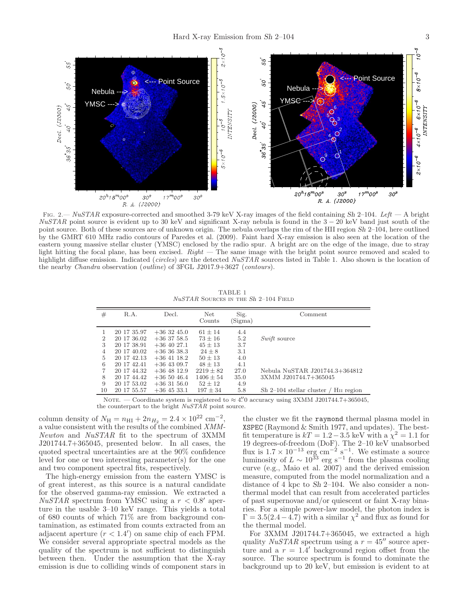

FIG. 2.— NuSTAR exposure-corrected and smoothed 3-79 keV X-ray images of the field containing Sh 2-104. Left — A bright  $NuSTAR$  point source is evident up to 30 keV and significant X-ray nebula is found in the  $3-20$  keV band just south of the point source. Both of these sources are of unknown origin. The nebula overlaps the rim of the HII region Sh 2–104, here outlined by the GMRT 610 MHz radio contours of Paredes et al. (2009). Faint hard X-ray emission is also seen at the location of the eastern young massive stellar cluster (YMSC) enclosed by the radio spur. A bright arc on the edge of the image, due to stray light hitting the focal plane, has been excised.  $Right$  — The same image with the bright point source removed and scaled to highlight diffuse emission. Indicated (circles) are the detected NuSTAR sources listed in Table 1. Also shown is the location of the nearby Chandra observation (outline) of 3FGL J2017.9+3627 (contours).

TABLE 1  $\it NuSTAR$  Sources in the Sh 2–104 Field

| #              | R.A.        | Decl.         | Net<br>Counts | Sig.<br>(Sigma) | Comment                                                |
|----------------|-------------|---------------|---------------|-----------------|--------------------------------------------------------|
|                | 20 17 35.97 | $+363245.0$   | $61 + 14$     | 4.4             |                                                        |
| $\overline{2}$ | 20 17 36.02 | $+36$ 37 58.5 | $73 \pm 16$   | 5.2             | <i>Swift</i> source                                    |
| 3              | 20 17 38.91 | $+36$ 40 27.1 | $45 \pm 13$   | 3.7             |                                                        |
| $\overline{4}$ | 20 17 40.02 | $+363638.3$   | $24 + 8$      | 3.1             |                                                        |
| 5              | 20 17 42.13 | $+36$ 41 18.2 | $50 + 13$     | 4.0             |                                                        |
| 6              | 20 17 42.41 | $+36$ 43 09.7 | $48 + 13$     | 4.1             |                                                        |
| 7              | 20 17 44.32 | $+36$ 48 12.9 | $2219 \pm 82$ | 27.0            | Nebula NuSTAR J201744.3+364812                         |
| 8              | 20 17 44.42 | $+365046.4$   | $1406 \pm 54$ | 35.0            | 3XMM J201744.7+365045                                  |
| 9              | 20 17 53.02 | $+363156.0$   | $52 + 12$     | 4.9             |                                                        |
| 10             | 20 17 55.57 | $+36$ 45 33.1 | $197 \pm 34$  | 5.8             | $Sh$ 2–104 stellar cluster /<br>H <sub>II</sub> region |
|                |             |               |               |                 |                                                        |

NOTE. — Coordinate system is registered to  $\approx 4\rlap{.}^{\prime\prime}0$  accuracy using 3XMM J201744.7+365045,

the counterpart to the bright  $NuSTAR$  point source.

column density of  $N_{\rm H} = n_{\rm HI} + 2n_{H_2} = 2.4 \times 10^{22}$  cm<sup>-2</sup>, a value consistent with the results of the combined XMM-Newton and NuSTAR fit to the spectrum of 3XMM J201744.7+365045, presented below. In all cases, the quoted spectral uncertainties are at the 90% confidence level for one or two interesting parameter(s) for the one and two component spectral fits, respectively.

The high-energy emission from the eastern YMSC is of great interest, as this source is a natural candidate for the observed gamma-ray emission. We extracted a  $NuSTAR$  spectrum from YMSC using a  $r < 0.8'$  aperture in the usable 3–10 keV range. This yields a total of 680 counts of which 71% are from background contamination, as estimated from counts extracted from an adjacent aperture  $(r < 1.4')$  on same chip of each FPM. We consider several appropriate spectral models as the quality of the spectrum is not sufficient to distinguish between then. Under the assumption that the X-ray emission is due to colliding winds of component stars in

the cluster we fit the raymond thermal plasma model in XSPEC (Raymond & Smith 1977, and updates). The bestfit temperature is  $kT = 1.2 - 3.5$  keV with a  $\chi^2 = 1.1$  for 19 degrees-of-freedom (DoF). The 2–10 keV unabsorbed flux is  $1.7 \times 10^{-13}$  erg cm<sup>-2</sup> s<sup>-1</sup>. We estimate a source luminosity of  $L \sim 10^{33}$  erg s<sup>-1</sup> from the plasma cooling curve (e.g., Maio et al. 2007) and the derived emission measure, computed from the model normalization and a distance of 4 kpc to Sh 2–104. We also consider a nonthermal model that can result from accelerated particles of past supernovae and/or quiescent or faint X-ray binaries. For a simple power-law model, the photon index is  $\Gamma = 3.5(2.4 - 4.7)$  with a similar  $\chi^2$  and flux as found for the thermal model.

For 3XMM J201744.7+365045, we extracted a high quality  $NuSTAR$  spectrum using a  $r = 45''$  source aperture and a  $r = 1.4'$  background region offset from the source. The source spectrum is found to dominate the background up to 20 keV, but emission is evident to at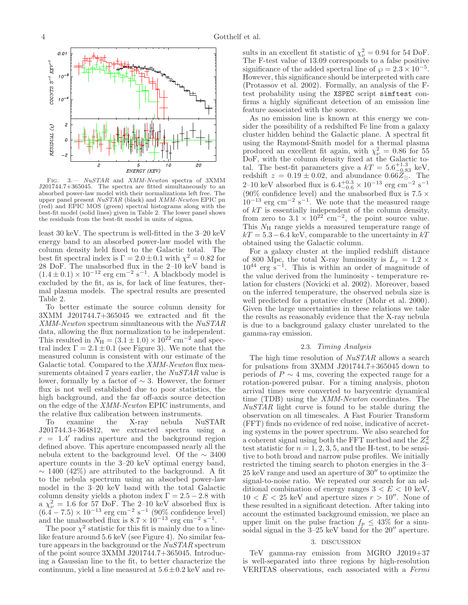![](_page_3_Figure_1.jpeg)

Fig. 3.— NuSTAR and XMM-Newton spectra of 3XMM J201744.7+365045. The spectra are fitted simultaneously to an absorbed power-law model with their normalizations left free. The upper panel present NuSTAR (black) and XMM-Newton EPIC pn (red) and EPIC MOS (green) spectral histograms along with the best-fit model (solid lines) given in Table 2. The lower panel shows the residuals from the best-fit model in units of sigma.

least 30 keV. The spectrum is well-fitted in the 3–20 keV energy band to an absorbed power-law model with the column density held fixed to the Galactic total. The best fit spectral index is  $\Gamma = 2.0 \pm 0.1$  with  $\chi^2 = 0.82$  for 28 DoF. The unabsorbed flux in the 2–10 keV band is  $(1.4 \pm 0.1) \times 10^{-12}$  erg cm<sup>-2</sup> s<sup>-1</sup>. A blackbody model is excluded by the fit, as is, for lack of line features, thermal plasma models. The spectral results are presented Table 2.

To better estimate the source column density for 3XMM J201744.7+365045 we extracted and fit the XMM-Newton spectrum simultaneous with the NuSTAR data, allowing the flux normalization to be independent. This resulted in  $N_{\rm H} = (3.1 \pm 1.0) \times 10^{22}$  cm<sup>-2</sup> and spectral index  $\Gamma = 2.1 \pm 0.1$  (see Figure 3). We note that the measured column is consistent with our estimate of the Galactic total. Compared to the XMM-Newton flux measurements obtained 7 years earlier, the NuSTAR value is lower, formally by a factor of ∼ 3. However, the former flux is not well established due to poor statistics, the high background, and the far off-axis source detection on the edge of the XMM-Newton EPIC instruments, and the relative flux calibration between instruments.<br>To examine the X-ray nebula Nu

To examine the X-ray nebula NuSTAR J201744.3+364812, we extracted spectra using a  $r = 1.4'$  radius aperture and the background region defined above. This aperture encompassed nearly all the nebula extent to the background level. Of the ∼ 3400 aperture counts in the 3–20 keV optimal energy band,  $\sim$  1400 (42%) are attributed to the background. A fit to the nebula spectrum using an absorbed power-law model in the 3–20 keV band with the total Galactic column density yields a photon index  $\Gamma = 2.5 - 2.8$  with  $\alpha \chi^2_{\nu} = 1.6$  for 57 DoF. The 2-10 keV absorbed flux is  $(6.4 - 7.5) \times 10^{-13}$  erg cm<sup>-2</sup> s<sup>-1</sup> (90% confidence level) and the unabsorbed flux is  $8.7 \times 10^{-13}$  erg cm<sup>-2</sup> s<sup>-1</sup>.

The poor  $\chi^2$  statistic for this fit is mainly due to a linelike feature around 5.6 keV (see Figure 4). No similar feature appears in the background or the  $NuSTAR$  spectrum of the point source 3XMM J201744.7+365045. Introducing a Gaussian line to the fit, to better characterize the continuum, yield a line measured at  $5.6\pm0.2$  keV and re-

sults in an excellent fit statistic of  $\chi^2_{\nu} = 0.94$  for 54 DoF. The F-test value of 13.09 corresponds to a false positive significance of the added spectral line of  $\wp = 2.3 \times 10^{-5}$ . However, this significance should be interpreted with care (Protassov et al. 2002). Formally, an analysis of the Ftest probability using the XSPEC script simftest confirms a highly significant detection of an emission line feature associated with the source.

As no emission line is known at this energy we consider the possibility of a redshifted Fe line from a galaxy cluster hidden behind the Galactic plane. A spectral fit using the Raymond-Smith model for a thermal plasma produced an excellent fit again, with  $\chi^2_{\nu} = 0.86$  for 55 DoF, with the column density fixed at the Galactic total. The best-fit parameters give a  $kT = 5.6^{+1.3}_{-0.83}$  keV, redshift  $z = 0.19 \pm 0.02$ , and abundance  $0.66\overline{Z_{\odot}}$ . The 2–10 keV absorbed flux is  $6.4^{+0.3}_{-0.6} \times 10^{-13}$  erg cm<sup>-2</sup> s<sup>-1</sup> (90% confidence level) and the unabsorbed flux is 7.5  $\times$  $10^{-13}$  erg cm<sup>-2</sup> s<sup>-1</sup>. We note that the measured range of  $kT$  is essentially independent of the column density, from zero to  $3.1 \times 10^{22}$  cm<sup>-2</sup>, the point source value. This  $N_{\rm H}$  range yields a measured temperature range of  $kT = 5.3 - 6.4$  keV, comparable to the uncertainty in  $kT$ obtained using the Galactic column.

For a galaxy cluster at the implied redshift distance of 800 Mpc, the total X-ray luminosity is  $L_x = 1.2 \times$  $10^{44}$  erg s<sup>-1</sup>. This is within an order of magnitude of the value derived from the luminosity - temperature relation for clusters (Novicki et al. 2002). Moreover, based on the inferred temperature, the observed nebula size is well predicted for a putative cluster (Mohr et al. 2000). Given the large uncertainties in these relations we take the results as reasonably evidence that the X-ray nebula is due to a background galaxy cluster unrelated to the gamma-ray emission.

#### 2.3. Timing Analysis

The high time resolution of  $NuSTAR$  allows a search for pulsations from 3XMM J201744.7+365045 down to periods of  $P \sim 4$  ms, covering the expected range for a rotation-powered pulsar. For a timing analysis, photon arrival times were converted to barycentric dynamical time (TDB) using the XMM-Newton coordinates. The  $NuSTAR$  light curve is found to be stable during the observation on all timescales. A Fast Fourier Transform (FFT) finds no evidence of red noise, indicative of accreting systems in the power spectrum. We also searched for a coherent signal using both the FFT method and the  $Z_n^2$ test statistic for  $n = 1, 2, 3, 5$ , and the H-test, to be sensitive to both broad and narrow pulse profiles. We initially restricted the timing search to photon energies in the 3– 25 keV range and used an aperture of 30′′ to optimize the signal-to-noise ratio. We repeated our search for an additional combination of energy ranges  $3 < E < 10$  keV,  $10 < E < 25$  keV and aperture sizes  $r > 10''$ . None of these resulted in a significant detection. After taking into account the estimated background emission, we place an upper limit on the pulse fraction  $f_p \leq 43\%$  for a sinusoidal signal in the 3–25 keV band for the 20<sup> $\prime\prime$ </sup> aperture.

# 3. DISCUSSION

TeV gamma-ray emission from MGRO J2019+37 is well-separated into three regions by high-resolution VERITAS observations, each associated with a Fermi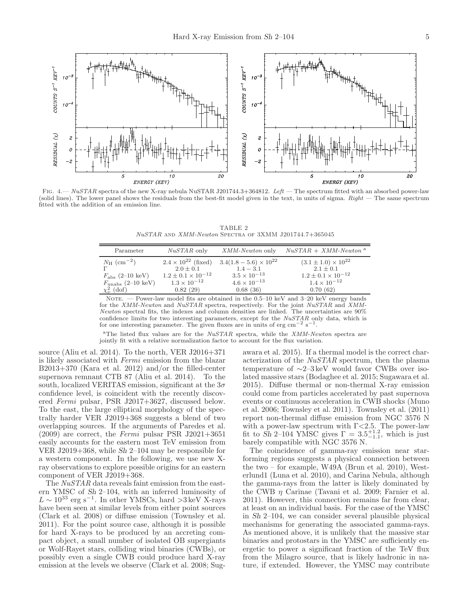COUNTS S<sup>-1</sup> KEV

10

z

![](_page_4_Figure_1.jpeg)

RESIDUAL (X) RESIDUAL (X)  $\mathcal{O}$  $\epsilon$  $-2$  $\overline{20}$  $\overline{20}$ 5 10 10 ENERGY (KEV) **ENERGY (KEV)** FIG.  $4.$ — NuSTAR spectra of the new X-ray nebula NuSTAR J201744.3+364812. Left — The spectrum fitted with an absorbed power-law

(solid lines). The lower panel shows the residuals from the best-fit model given in the text, in units of sigma.  $Right$  — The same spectrum fitted with the addition of an emission line.

TABLE 2 NuSTAR and XMM-Newton Spectra of 3XMM J201744.7+365045

| Parameter                                                                                                            | <i>NuSTAR</i> only                                                                                                  | <i>XMM-Newton</i> only                                                                                   | $NuSTAR + XMM-Newton$ <sup>a</sup>                                                                                    |
|----------------------------------------------------------------------------------------------------------------------|---------------------------------------------------------------------------------------------------------------------|----------------------------------------------------------------------------------------------------------|-----------------------------------------------------------------------------------------------------------------------|
| $N_{\rm H}$ (cm <sup>-2</sup> )<br>$F_{\rm abs}$ (2–10 keV)<br>$F_{\text{unabs}}$ (2–10 keV)<br>$\chi^2_{\nu}$ (dof) | $2.4 \times 10^{22}$ (fixed)<br>$2.0 \pm 0.1$<br>$1.2 \pm 0.1 \times 10^{-12}$<br>$1.3 \times 10^{-12}$<br>0.82(29) | $3.4(1.8-5.6)\times10^{22}$<br>$1.4 - 3.1$<br>$3.5 \times 10^{-13}$<br>$4.6 \times 10^{-13}$<br>0.68(36) | $(3.1 \pm 1.0) \times 10^{22}$<br>$2.1 \pm 0.1$<br>$1.2 \pm 0.1 \times 10^{-12}$<br>$1.4 \times 10^{-12}$<br>0.70(62) |

NOTE. — Power-law model fits are obtained in the  $0.5-10 \text{ keV}$  and  $3-20 \text{ keV}$  energy bands for the XMM-Newton and NuSTAR spectra, respectively. For the joint NuSTAR and XMM-Newton spectral fits, the indexes and column densities are linked. The uncertainties are 90% confidence limits for two interesting parameters, except for the  $NuSTAR$  only data, which is for one interesting parameter. The given fluxes are in units of erg cm<sup>−2</sup> s<sup>−1</sup>.

<sup>a</sup>The listed flux values are for the  $NuSTAR$  spectra, while the  $XMM-Newton$  spectra are jointly fit with a relative normalization factor to account for the flux variation.

source (Aliu et al. 2014). To the north, VER J2016+371 is likely associated with Fermi emission from the blazar B2013+370 (Kara et al. 2012) and/or the filled-center supernova remnant CTB 87 (Aliu et al. 2014). To the south, localized VERITAS emission, significant at the  $3\sigma$ confidence level, is coincident with the recently discovered Fermi pulsar, PSR J2017+3627, discussed below. To the east, the large elliptical morphology of the spectrally harder VER J2019+368 suggests a blend of two overlapping sources. If the arguments of Paredes et al.  $(2009)$  are correct, the Fermi pulsar PSR J2021+3651 easily accounts for the eastern most TeV emission from VER J2019+368, while Sh 2–104 may be responsible for a western component. In the following, we use new Xray observations to explore possible origins for an eastern component of VER J2019+368.

 $700NTS S^{-1}$   $KEY$ 

 $10$ 

 $10^{-1}$ 

 $\boldsymbol{z}$ 

The NuSTAR data reveals faint emission from the eastern YMSC of Sh 2–104, with an inferred luminosity of  $L \sim 10^{33}$  erg s<sup>-1</sup>. In other YMSCs, hard >3 keV X-rays have been seen at similar levels from either point sources (Clark et al. 2008) or diffuse emission (Townsley et al. 2011). For the point source case, although it is possible for hard X-rays to be produced by an accreting compact object, a small number of isolated OB supergiants or Wolf-Rayet stars, colliding wind binaries (CWBs), or possibly even a single CWB could produce hard X-ray emission at the levels we observe (Clark et al. 2008; Sug-

awara et al. 2015). If a thermal model is the correct characterization of the NuSTAR spectrum, then the plasma temperature of ∼2–3 keV would favor CWBs over isolated massive stars (Bodaghee et al. 2015; Sugawara et al. 2015). Diffuse thermal or non-thermal X-ray emission could come from particles accelerated by past supernova events or continuous acceleration in CWB shocks (Muno et al. 2006; Townsley et al. 2011). Townsley et al. (2011) report non-thermal diffuse emission from NGC 3576 N with a power-law spectrum with  $\Gamma$ <2.5. The power-law fit to  $\hat{Sh}$  2–104 YMSC gives  $\Gamma = 3.5^{+1.2}_{-1.1}$ , which is just barely compatible with NGC 3576 N.

The coincidence of gamma-ray emission near starforming regions suggests a physical connection between the two – for example, W49A (Brun et al. 2010), Westerlund1 (Luna et al. 2010), and Carina Nebula, although the gamma-rays from the latter is likely dominated by the CWB  $\eta$  Carinae (Tavani et al. 2009; Farnier et al. 2011). However, this connection remains far from clear, at least on an individual basis. For the case of the YMSC in Sh 2–104, we can consider several plausible physical mechanisms for generating the associated gamma-rays. As mentioned above, it is unlikely that the massive star binaries and protostars in the YMSC are sufficiently energetic to power a significant fraction of the TeV flux from the Milagro source, that is likely hadronic in nature, if extended. However, the YMSC may contribute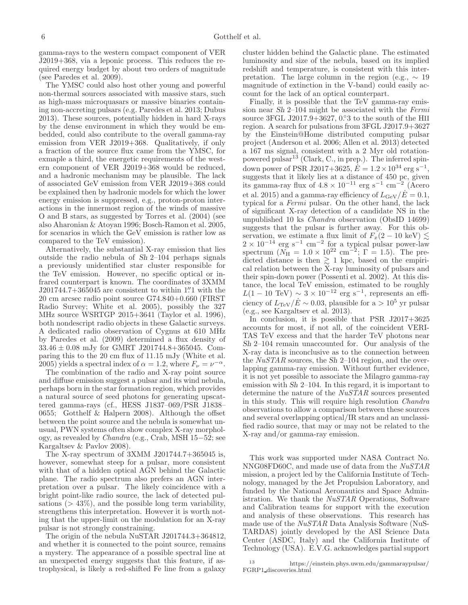gamma-rays to the western compact component of VER J2019+368, via a leponic process. This reduces the required energy budget by about two orders of magnitude (see Paredes et al. 2009).

The YMSC could also host other young and powerful non-thermal sources associated with massive stars, such as high-mass microquasars or massive binaries containing non-accreting pulsars (e.g. Paredes et al. 2013; Dubus 2013). These sources, potentially hidden in hard X-rays by the dense environment in which they would be embedded, could also contribute to the overall gamma-ray emission from VER J2019+368. Qualitatively, if only a fraction of the source flux came from the YMSC, for exmaple a third, the energetic requirements of the western component of VER J2019+368 would be reduced, and a hadronic mechanism may be plausible. The lack of associated GeV emission from VER J2019+368 could be explained then by hadronic models for which the lower energy emission is suppressed, e.g., proton-proton interactions in the innermost region of the winds of massive O and B stars, as suggested by Torres et al. (2004) (see also Aharonian & Atoyan 1996; Bosch-Ramon et al. 2005, for scenarios in which the GeV emission is rather low as compared to the TeV emission).

Alternatively, the substantial X-ray emission that lies outside the radio nebula of Sh 2–104 perhaps signals a previously unidentified star cluster responsible for the TeV emission. However, no specific optical or infrared counterpart is known. The coordinates of 3XMM  $J201744.7+365045$  are consistent to within 1.'<sup>'</sup> 1 with the 20 cm arcsec radio point source G74.840+0.660 (FIRST Radio Survey; White et al. 2005), possibly the 327 MHz source WSRTGP 2015+3641 (Taylor et al. 1996), both nondescript radio objects in these Galactic surveys. A dedicated radio observation of Cygnus at 610 MHz by Paredes et al. (2009) determined a flux density of  $33.46 \pm 0.08$  mJy for GMRT J201744.8+365045. Comparing this to the 20 cm flux of 11.15 mJy (White et al. 2005) yields a spectral index of  $\alpha = 1.2$ , where  $F_{\nu} = \nu^{-\alpha}$ .

The combination of the radio and X-ray point source and diffuse emission suggest a pulsar and its wind nebula, perhaps born in the star formation region, which provides a natural source of seed photons for generating upscattered gamma-rays (cf., HESS J1837–069/PSR J1838– 0655; Gotthelf & Halpern 2008). Although the offset between the point source and the nebula is somewhat unusual, PWN systems often show complex X-ray morphology, as revealed by Chandra (e.g., Crab, MSH 15−52; see Kargaltsev & Pavlov 2008).

The X-ray spectrum of 3XMM J201744.7+365045 is, however, somewhat steep for a pulsar, more consistent with that of a hidden optical AGN behind the Galactic plane. The radio spectrum also prefers an AGN interpretation over a pulsar. The likely coincidence with a bright point-like radio source, the lack of detected pulsations  $(> 43\%)$ , and the possible long term variability, strengthens this interpretation. However it is worth noting that the upper-limit on the modulation for an X-ray pulsar is not strongly constraining.

The origin of the nebula NuSTAR J201744.3+364812, and whether it is connected to the point source, remains a mystery. The appearance of a possible spectral line at an unexpected energy suggests that this feature, if astrophysical, is likely a red-shifted Fe line from a galaxy

cluster hidden behind the Galactic plane. The estimated luminosity and size of the nebula, based on its implied redshift and temperature, is consistent with this interpretation. The large column in the region (e.g.,  $\sim 19$ magnitude of extinction in the V-band) could easily account for the lack of an optical counterpart.

Finally, it is possible that the TeV gamma-ray emission near Sh 2–104 might be associated with the Fermi source 3FGL J2017.9 $+3627, 0.3$  to the south of the HII region. A search for pulsations from 3FGL J2017.9+3627 by the Einstein@Home distributed computing pulsar project (Anderson et al. 2006; Allen et al. 2013) detected a 167 ms signal, consistent with a 2 Myr old rotationpowered pulsar<sup>13</sup> (Clark, C., in prep.). The inferred spindown power of PSR J2017+3625,  $\dot{E} = 1.2 \times 10^{34} \text{ erg s}^{-1}$ , suggests that it likely lies at a distance of 450 pc, given its gamma-ray flux of  $4.8 \times 10^{-11}$  erg s<sup>-1</sup> cm<sup>-2</sup> (Acero et al. 2015) and a gamma-ray efficiency of  $L_{\rm GeV}/E=0.1$ , typical for a Fermi pulsar. On the other hand, the lack of significant X-ray detection of a candidate NS in the unpublished 10 ks Chandra observation (ObsID 14699) suggests that the pulsar is further away. For this observation, we estimate a flux limit of  $F_x(2-10 \text{ keV}) \lesssim$  $2 \times 10^{-14}$  erg s<sup>-1</sup> cm<sup>-2</sup> for a typical pulsar power-law spectrum  $(N_{\rm H} = 1.0 \times 10^{22} \text{ cm}^{-2}; \Gamma = 1.5)$ . The predicted distance is then  $\geq 1$  kpc, based on the empirical relation between the X-ray luminosity of pulsars and their spin-down power (Possenti et al. 2002). At this distance, the local TeV emission, estimated to be roughly  $L(1-10 \text{ TeV}) \sim 3 \times 10^{-12} \text{ erg s}^{-1}$ , represents an efficiency of  $L_{\rm TeV}/E \sim 0.03$ , plausible for a >  $10^5$  yr pulsar (e.g., see Kargaltsev et al. 2013).

In conclusion, it is possible that PSR J2017+3625 accounts for most, if not all, of the coincident VERI-TAS TeV excess and that the harder TeV photons near Sh 2–104 remain unaccounted for. Our analysis of the X-ray data is inconclusive as to the connection between the *NuSTAR* sources, the Sh 2–104 region, and the overlapping gamma-ray emission. Without further evidence, it is not yet possible to associate the Milagro gamma-ray emission with Sh 2–104. In this regard, it is important to determine the nature of the NuSTAR sources presented in this study. This will require high resolution Chandra observations to allow a comparison between these sources and several overlapping optical/IR stars and an unclassified radio source, that may or may not be related to the X-ray and/or gamma-ray emission.

This work was supported under NASA Contract No. NNG08FD60C, and made use of data from the NuSTAR mission, a project led by the California Institute of Technology, managed by the Jet Propulsion Laboratory, and funded by the National Aeronautics and Space Administration. We thank the NuSTAR Operations, Software and Calibration teams for support with the execution and analysis of these observations. This research has made use of the NuSTAR Data Analysis Software (NuS-TARDAS) jointly developed by the ASI Science Data Center (ASDC, Italy) and the California Institute of Technology (USA). E.V.G. acknowledges partial support

<sup>13</sup> https://einstein.phys.uwm.edu/gammaraypulsar/ FGRP1 discoveries.html